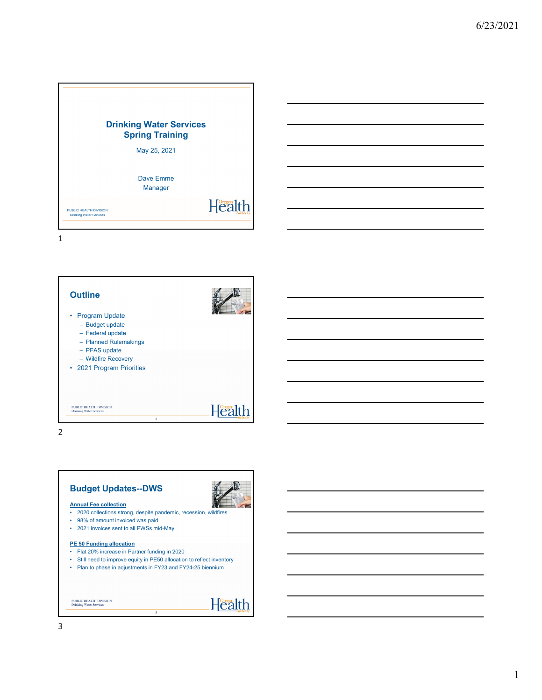

1

| <b>Outline</b><br><b>Program Update</b><br>- Budget update<br>- Federal update<br>- Planned Rulemakings<br>- PFAS update<br>- Wildfire Recovery<br>• 2021 Program Priorities |                |
|------------------------------------------------------------------------------------------------------------------------------------------------------------------------------|----------------|
| PURLIC HEALTH DIVISION                                                                                                                                                       | $H^{0}$        |
| <b>Drinking Water Services</b>                                                                                                                                               | $\overline{2}$ |

2

# **Budget Updates--DWS**



- **Annual Fee collection**
- 2020 collections strong, despite pandemic, recession, wildfires
- 98% of amount invoiced was paid
- 2021 invoices sent to all PWSs mid-May

#### **PE 50 Funding allocation**

- Flat 20% increase in Partner funding in 2020
- Still need to improve equity in PE50 allocation to reflect inventory • Plan to phase in adjustments in FY23 and FY24-25 biennium

3

PUBLIC HEALTH DIVISION Drinking Water Services

Health

### 3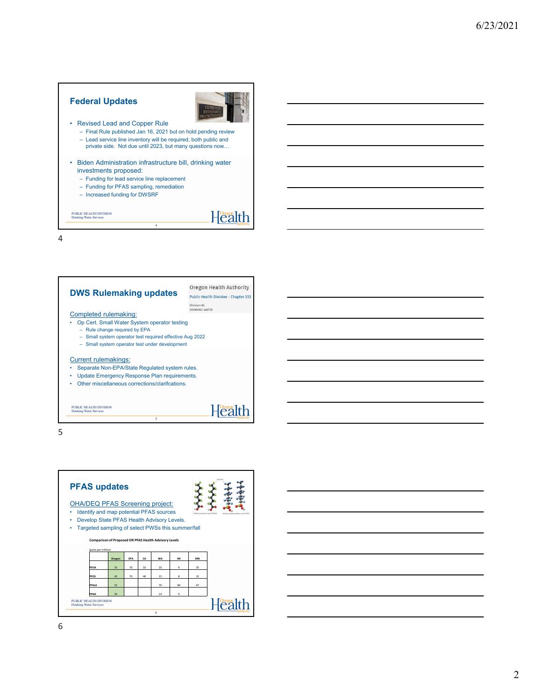### **Federal Updates**



Health

- Revised Lead and Copper Rule
	- Final Rule published Jan 16, 2021 but on hold pending review
	- Lead service line inventory will be required, both public and private side. Not due until 2023, but many questions now…
- Biden Administration infrastructure bill, drinking water investments proposed:

4

- Funding for lead service line replacement
- Funding for PFAS sampling, remediation
- Increased funding for DWSRF

PUBLIC HEALTH DIVISION Drinking Water Services

4



5